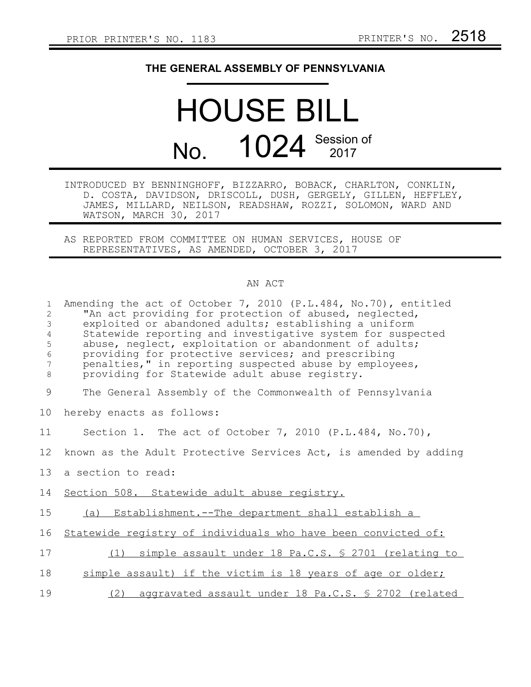## **THE GENERAL ASSEMBLY OF PENNSYLVANIA**

## HOUSE BILL No. 1024 Session of

INTRODUCED BY BENNINGHOFF, BIZZARRO, BOBACK, CHARLTON, CONKLIN, D. COSTA, DAVIDSON, DRISCOLL, DUSH, GERGELY, GILLEN, HEFFLEY, JAMES, MILLARD, NEILSON, READSHAW, ROZZI, SOLOMON, WARD AND WATSON, MARCH 30, 2017

AS REPORTED FROM COMMITTEE ON HUMAN SERVICES, HOUSE OF REPRESENTATIVES, AS AMENDED, OCTOBER 3, 2017

## AN ACT

| $\mathbf{1}$<br>$\overline{c}$<br>3<br>4<br>5<br>$\epsilon$<br>7<br>$\,8\,$ | Amending the act of October 7, 2010 (P.L.484, No.70), entitled<br>"An act providing for protection of abused, neglected,<br>exploited or abandoned adults; establishing a uniform<br>Statewide reporting and investigative system for suspected<br>abuse, neglect, exploitation or abandonment of adults;<br>providing for protective services; and prescribing<br>penalties," in reporting suspected abuse by employees,<br>providing for Statewide adult abuse registry. |
|-----------------------------------------------------------------------------|----------------------------------------------------------------------------------------------------------------------------------------------------------------------------------------------------------------------------------------------------------------------------------------------------------------------------------------------------------------------------------------------------------------------------------------------------------------------------|
| 9                                                                           | The General Assembly of the Commonwealth of Pennsylvania                                                                                                                                                                                                                                                                                                                                                                                                                   |
| 10                                                                          | hereby enacts as follows:                                                                                                                                                                                                                                                                                                                                                                                                                                                  |
| 11                                                                          | Section 1. The act of October 7, 2010 (P.L.484, No.70),                                                                                                                                                                                                                                                                                                                                                                                                                    |
| 12                                                                          | known as the Adult Protective Services Act, is amended by adding                                                                                                                                                                                                                                                                                                                                                                                                           |
| 13                                                                          | a section to read:                                                                                                                                                                                                                                                                                                                                                                                                                                                         |
| 14                                                                          | Section 508. Statewide adult abuse registry.                                                                                                                                                                                                                                                                                                                                                                                                                               |
| 15                                                                          | (a) Establishment.--The department shall establish a                                                                                                                                                                                                                                                                                                                                                                                                                       |
| 16                                                                          | Statewide registry of individuals who have been convicted of:                                                                                                                                                                                                                                                                                                                                                                                                              |
| 17                                                                          | simple assault under 18 Pa.C.S. § 2701 (relating to<br>(1)                                                                                                                                                                                                                                                                                                                                                                                                                 |
| 18                                                                          | simple assault) if the victim is 18 years of age or older;                                                                                                                                                                                                                                                                                                                                                                                                                 |
| 19                                                                          | (2) aggravated assault under 18 Pa.C.S. § 2702 (related                                                                                                                                                                                                                                                                                                                                                                                                                    |